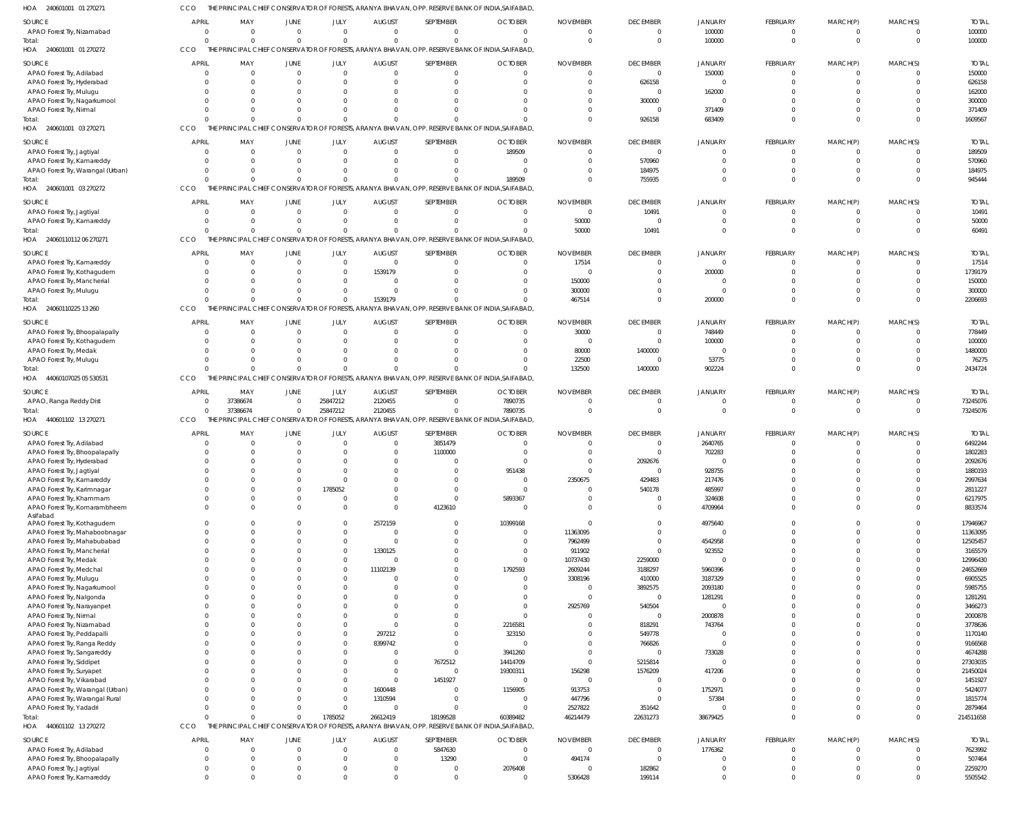| HOA<br>240601001 01 270271                                     |                                  |          |                      |                      |                               |                                                                                                  | THE PRINCIPAL CHIEF CONSERVATOR OF FORESTS, ARANYA BHAVAN, OPP. RESERVE BANK OF INDIA,SAIFABAD |                                   |                          |                                  |                             |                      |                            |                       |
|----------------------------------------------------------------|----------------------------------|----------|----------------------|----------------------|-------------------------------|--------------------------------------------------------------------------------------------------|------------------------------------------------------------------------------------------------|-----------------------------------|--------------------------|----------------------------------|-----------------------------|----------------------|----------------------------|-----------------------|
| <b>SOURCE</b>                                                  | <b>APRIL</b>                     | MAY      | <b>JUNE</b>          | JULY                 | <b>AUGUST</b>                 | SEPTEMBER                                                                                        | <b>OCTOBER</b>                                                                                 | <b>NOVEMBER</b>                   | <b>DECEMBER</b>          | <b>JANUARY</b>                   | <b>FEBRUARY</b>             | MARCH(P)             | MARCH(S)                   | <b>TOTAL</b>          |
| APAO Forest Try, Nizamabad                                     | $\overline{0}$                   | $\Omega$ | $\mathbf{0}$         | $\mathbf{0}$         | $\Omega$                      | $\overline{0}$                                                                                   | $\Omega$                                                                                       | $\Omega$                          | $\overline{0}$           | 100000                           | $\Omega$                    | $\Omega$             | $\overline{0}$             | 100000                |
| Total:                                                         | $\Omega$                         | $\Omega$ | $\Omega$             | $\mathbf 0$          | $\Omega$                      | $\Omega$                                                                                         | $\Omega$                                                                                       | $\Omega$                          | $\overline{0}$           | 100000                           | $\Omega$                    | $\Omega$             | $\overline{0}$             | 100000                |
| HOA 240601001 01 270272                                        | CCO                              |          |                      |                      |                               | THE PRINCIPAL CHIEF CONSERVATOR OF FORESTS, ARANYA BHAVAN, OPP. RESERVE BANK OF INDIA, SAIFABAD  |                                                                                                |                                   |                          |                                  |                             |                      |                            |                       |
| <b>SOURCE</b>                                                  | <b>APRIL</b>                     | MAY      | JUNE                 | JULY                 | <b>AUGUST</b>                 | SEPTEMBER                                                                                        | <b>OCTOBER</b>                                                                                 | <b>NOVEMBER</b>                   | <b>DECEMBER</b>          | <b>JANUARY</b>                   | <b>FEBRUARY</b>             | MARCH(P)             | MARCH(S)                   | <b>TOTAL</b>          |
| APAO Forest Try, Adilabad                                      | $\overline{0}$                   |          | $\mathbf{0}$         | $\mathbf 0$          | $\overline{0}$                | $\mathbf{0}$                                                                                     | $\Omega$                                                                                       | $\Omega$                          | $\overline{\phantom{0}}$ | 150000                           | $\Omega$                    | $\Omega$             | $\overline{0}$             | 150000                |
| APAO Forest Try, Hyderabad                                     | $\Omega$                         |          | $\Omega$             | $\mathbf{0}$         | $\Omega$                      | $\mathbf 0$                                                                                      | $\Omega$                                                                                       |                                   | 626158                   | $\overline{0}$                   | $\Omega$                    | $\Omega$             | $\Omega$                   | 626158                |
| APAO Forest Try, Mulugu                                        | $\Omega$                         |          |                      | $\Omega$             |                               | $\mathbf 0$                                                                                      |                                                                                                |                                   | $\overline{0}$           | 162000                           | $\Omega$                    | $\Omega$             | $\Omega$                   | 162000                |
| APAO Forest Try, Nagarkurnool                                  | $\Omega$                         |          | 0                    | $\Omega$             | $\Omega$                      | $\mathbf 0$                                                                                      |                                                                                                |                                   | 300000                   | $\overline{0}$                   | $\Omega$                    | $\Omega$             | $\Omega$                   | 300000                |
| APAO Forest Try, Nirmal                                        | $\Omega$                         |          |                      | $\Omega$             |                               | $\Omega$                                                                                         |                                                                                                |                                   | $\overline{\phantom{0}}$ | 371409                           | $\Omega$                    | $\Omega$             | $\Omega$                   | 371409                |
| Total:                                                         | $\Omega$                         |          | $\Omega$             | $\Omega$             |                               | $\Omega$                                                                                         |                                                                                                | $\Omega$                          | 926158                   | 683409                           | $\Omega$                    | $\Omega$             | $\overline{0}$             | 1609567               |
| HOA 240601001 03 270271                                        | CCO                              |          |                      |                      |                               | THE PRINCIPAL CHIEF CONSERVATOR OF FORESTS, ARANYA BHAVAN, OPP. RESERVE BANK OF INDIA, SAIFABAD  |                                                                                                |                                   |                          |                                  |                             |                      |                            |                       |
| <b>SOURCE</b>                                                  | <b>APRIL</b>                     | MAY      | JUNE                 | JULY                 | <b>AUGUST</b>                 | SEPTEMBER                                                                                        | <b>OCTOBER</b>                                                                                 | <b>NOVEMBER</b>                   | <b>DECEMBER</b>          | <b>JANUARY</b>                   | <b>FEBRUARY</b>             | MARCH(P)             | MARCH(S)                   | <b>TOTAL</b>          |
| APAO Forest Try, Jagtiyal                                      | $\overline{0}$                   | $\Omega$ | $\mathbf 0$          | $\mathbf{0}$         | $\mathbf{0}$                  | $\overline{0}$                                                                                   | 189509                                                                                         | $\Omega$                          | $\overline{0}$           | $\overline{0}$                   | - 0                         | - 0                  | $\Omega$                   | 189509                |
| APAO Forest Try, Kamareddy                                     | $\Omega$                         | - 0      | $\Omega$             | $\mathbf{0}$         | $\Omega$                      | $\mathbf 0$                                                                                      | $\Omega$                                                                                       | $\Omega$                          | 570960                   | $\Omega$                         | $\Omega$                    | $\Omega$             | $\overline{0}$             | 570960                |
| APAO Forest Try, Warangal (Urban)                              | $\Omega$                         | $\Omega$ | $\Omega$             | $\mathbf{0}$         | $\Omega$                      | $\mathbf 0$                                                                                      | $\Omega$                                                                                       | <sup>0</sup>                      | 184975                   | $\Omega$                         | $\Omega$                    | $\Omega$             | $\Omega$                   | 184975                |
| Total:                                                         | $\Omega$                         |          | $\Omega$             | $\Omega$             | $\Omega$                      | $\Omega$                                                                                         | 189509                                                                                         | $\Omega$                          | 755935                   | $\Omega$                         | $\Omega$                    | $\Omega$             | $\Omega$                   | 945444                |
| HOA 240601001 03 270272                                        | CCO                              |          |                      |                      |                               | THE PRINCIPAL CHIEF CONSERVATOR OF FORESTS, ARANYA BHAVAN, OPP. RESERVE BANK OF INDIA, SAIFABAD  |                                                                                                |                                   |                          |                                  |                             |                      |                            |                       |
|                                                                |                                  |          |                      |                      |                               |                                                                                                  |                                                                                                |                                   |                          |                                  |                             |                      |                            |                       |
| SOURCE                                                         | <b>APRIL</b><br>$\circ$          | MAY      | JUNE<br>$\mathbf{0}$ | JULY<br>$\mathbf{0}$ | <b>AUGUST</b><br>$\mathbf{0}$ | SEPTEMBER<br>$\mathbf{0}$                                                                        | <b>OCTOBER</b><br>$\Omega$                                                                     | <b>NOVEMBER</b><br>$\overline{0}$ | <b>DECEMBER</b>          | <b>JANUARY</b><br>$\overline{0}$ | <b>FEBRUARY</b><br>$\Omega$ | MARCH(P)<br>$\Omega$ | MARCH(S)<br>$\overline{0}$ | <b>TOTAL</b><br>10491 |
| APAO Forest Try, Jagtiyal                                      | $\overline{0}$                   | C        | $\Omega$             | $\mathbf{0}$         | $\Omega$                      | $\mathbf{0}$                                                                                     | $\Omega$                                                                                       |                                   | 10491<br>$\overline{0}$  | $\overline{0}$                   | $\Omega$                    | $\mathbf{0}$         | $\overline{0}$             |                       |
| APAO Forest Try, Kamareddy                                     | $\Omega$                         |          | $\Omega$             | $\Omega$             |                               | $\Omega$                                                                                         |                                                                                                | 50000<br>50000                    | 10491                    | $\overline{0}$                   | $\Omega$                    | $\Omega$             | $\Omega$                   | 50000<br>60491        |
| Total:<br>HOA 24060110112 06 270271                            | CCO                              |          |                      |                      |                               | THE PRINCIPAL CHIEF CONSERVATOR OF FORESTS, ARANYA BHAVAN, OPP. RESERVE BANK OF INDIA, SAIFABAD  |                                                                                                |                                   |                          |                                  |                             |                      |                            |                       |
|                                                                |                                  |          |                      |                      |                               |                                                                                                  |                                                                                                |                                   |                          |                                  |                             |                      |                            |                       |
| <b>SOURCE</b>                                                  | <b>APRIL</b>                     | MAY      | JUNE                 | JULY                 | <b>AUGUST</b>                 | SEPTEMBER                                                                                        | <b>OCTOBER</b>                                                                                 | <b>NOVEMBER</b>                   | <b>DECEMBER</b>          | <b>JANUARY</b>                   | <b>FEBRUARY</b>             | MARCH(P)             | MARCH(S)                   | <b>TOTAL</b>          |
| APAO Forest Try, Kamareddy                                     | $\overline{0}$                   | $\Omega$ | $\mathbf{0}$         | $\mathbf{0}$         | $\Omega$                      | $\overline{0}$                                                                                   | $\Omega$                                                                                       | 17514                             | $\overline{0}$           | $\overline{0}$                   | $\Omega$                    | - 0                  | $\Omega$                   | 17514                 |
| APAO Forest Try, Kothagudem                                    | $\Omega$                         |          | $\Omega$             | $\mathbf{0}$         | 1539179                       | $\mathbf 0$                                                                                      | $\Omega$                                                                                       | $\Omega$                          | $\overline{0}$           | 200000                           | $\Omega$                    | $\Omega$             | $\overline{0}$             | 1739179               |
| APAO Forest Try, Mancherial                                    | $\Omega$                         | $\Omega$ | $\Omega$             | $\mathbf{0}$         | $\Omega$                      | $\Omega$                                                                                         | $\Omega$                                                                                       | 150000                            | $\Omega$                 | $\circ$                          | $\Omega$                    | $\Omega$             | $\Omega$                   | 150000                |
| APAO Forest Try, Mulugu                                        | $\Omega$                         |          | $\Omega$             | $\Omega$             | $\Omega$                      | $\Omega$                                                                                         | <sup>0</sup>                                                                                   | 300000                            | $\Omega$                 | $\Omega$                         | $\Omega$                    | $\Omega$             | $\Omega$                   | 300000                |
| Total:                                                         | $\Omega$                         |          | $\Omega$             | $\Omega$             | 1539179                       | $\Omega$                                                                                         | $\Omega$                                                                                       | 467514                            | $\Omega$                 | 200000                           | $\Omega$                    | $\Omega$             | $\Omega$                   | 2206693               |
| HOA 24060110225 13 260                                         | CCO                              |          |                      |                      |                               | THE PRINCIPAL CHIEF CONSERVATOR OF FORESTS, ARANYA BHAVAN, OPP. RESERVE BANK OF INDIA, SAIFABAD  |                                                                                                |                                   |                          |                                  |                             |                      |                            |                       |
| <b>SOURCE</b>                                                  | <b>APRIL</b>                     | MAY      | JUNE                 | JULY                 | <b>AUGUST</b>                 | SEPTEMBER                                                                                        | <b>OCTOBER</b>                                                                                 | <b>NOVEMBER</b>                   | <b>DECEMBER</b>          | <b>JANUARY</b>                   | <b>FEBRUARY</b>             | MARCH(P)             | MARCH(S)                   | <b>TOTAL</b>          |
| APAO Forest Try, Bhoopalapally                                 | $\overline{0}$                   |          | 0                    | $\mathbf{0}$         | $\overline{0}$                | $\overline{0}$                                                                                   | $\Omega$                                                                                       | 30000                             | $\overline{0}$           | 748449                           | $\Omega$                    | $\Omega$             | $\overline{0}$             | 778449                |
| APAO Forest Try, Kothagudem                                    | $\overline{0}$                   |          | $\Omega$             | $\mathbf{0}$         | $\Omega$                      | $\mathbf 0$                                                                                      | $\Omega$                                                                                       | $\Omega$                          | $\overline{0}$           | 100000                           | $\Omega$                    | $\Omega$             | $\overline{0}$             | 100000                |
| APAO Forest Try, Medak                                         | $\Omega$                         |          |                      | $\Omega$             |                               | $\mathbf 0$                                                                                      | $\Omega$                                                                                       | 80000                             | 1400000                  | $\overline{0}$                   | $\Omega$                    | $\Omega$             | $\Omega$                   | 1480000               |
| APAO Forest Try, Mulugu                                        | $\Omega$                         |          | $\Omega$             | $\Omega$             | <sup>0</sup>                  | $\mathbf 0$                                                                                      |                                                                                                | 22500                             | $\overline{0}$           | 53775                            | $\Omega$                    | $\Omega$             | $\overline{0}$             | 76275                 |
| Total:                                                         | $\Omega$                         |          | $\Omega$             | $\Omega$             | $\Omega$                      | $\Omega$                                                                                         | <sup>0</sup>                                                                                   | 132500                            | 1400000                  | 902224                           | $\Omega$                    | $\Omega$             | $\Omega$                   | 2434724               |
| HOA 44060107025 05 530531                                      | CCO<br>THE                       |          |                      |                      |                               | PRINCIPAL CHIEF CONSERVATOR OF FORESTS, ARANYA BHAVAN, OPP. RESERVE BANK OF INDIA, SAIFABAD      |                                                                                                |                                   |                          |                                  |                             |                      |                            |                       |
| <b>SOURCE</b>                                                  | APRIL                            | MAY      | JUNE                 | JULY                 | <b>AUGUST</b>                 | SEPTEMBER                                                                                        | <b>OCTOBER</b>                                                                                 | <b>NOVEMBER</b>                   | <b>DECEMBER</b>          | <b>JANUARY</b>                   | <b>FEBRUARY</b>             | MARCH(P)             | MARCH(S)                   | <b>TOTAL</b>          |
| APAO, Ranga Reddy Dist                                         | $\overline{0}$                   | 37386674 | $\mathbf{0}$         | 25847212             | 2120455                       | $\mathbf 0$                                                                                      | 7890735                                                                                        | $\Omega$                          | $\overline{0}$           | $\overline{0}$                   | $^{\circ}$                  | $\Omega$             | $\overline{0}$             | 73245076              |
| Total:                                                         | $\Omega$                         | 37386674 | $\Omega$             | 25847212             | 2120455                       | $\mathbf{0}$                                                                                     | 7890735                                                                                        | $\Omega$                          | $\overline{0}$           | $\overline{0}$                   | $\Omega$                    | $\mathbf{0}$         | $\overline{0}$             | 73245076              |
| HOA 440601102 13 270271                                        | CCO                              |          |                      |                      |                               | THE PRINCIPAL CHIEF CONSERVATOR OF FORESTS, ARANYA BHAVAN, OPP. RESERVE BANK OF INDIA, SAIFABAD  |                                                                                                |                                   |                          |                                  |                             |                      |                            |                       |
|                                                                |                                  |          |                      |                      |                               |                                                                                                  |                                                                                                |                                   |                          |                                  |                             |                      |                            |                       |
| <b>SOURCE</b>                                                  | <b>APRIL</b>                     | MAY      | JUNE                 | JULY                 | <b>AUGUST</b>                 | SEPTEMBER                                                                                        | <b>OCTOBER</b>                                                                                 | <b>NOVEMBER</b>                   | <b>DECEMBER</b>          | <b>JANUARY</b>                   | <b>FEBRUARY</b>             | MARCH(P)             | MARCH(S)                   | <b>TOTAL</b>          |
| APAO Forest Try, Adilabad                                      | $\overline{0}$                   | - 0      | $\mathbf{0}$         | $\mathbf{0}$         | $\overline{0}$                | 3851479                                                                                          | $\Omega$                                                                                       | $\Omega$                          | $\overline{0}$           | 2640765                          | $\Omega$                    | $\Omega$             | $\Omega$                   | 6492244               |
| APAO Forest Try, Bhoopalapally                                 | $\overline{0}$                   |          | 0                    | $\mathbf{0}$         | $\Omega$                      | 1100000                                                                                          | $\Omega$                                                                                       |                                   | $\overline{0}$           | 702283                           | $\Omega$                    | $\Omega$             | $\Omega$                   | 1802283               |
| APAO Forest Try, Hyderabad                                     | $\Omega$                         |          | $\Omega$             | $\Omega$             | $\Omega$                      | $\mathbf{0}$                                                                                     | $\Omega$                                                                                       | $\Omega$                          | 2092676                  | $\overline{0}$                   | $\Omega$                    | $\Omega$             | $\Omega$                   | 2092676               |
| APAO Forest Try, Jagtiyal                                      |                                  |          |                      |                      |                               | $\mathbf{0}$                                                                                     | 951438                                                                                         |                                   | $\overline{0}$           | 928755                           |                             |                      | n                          | 1880193               |
| APAO Forest Try, Kamareddy                                     | $\Omega$                         |          | <sup>0</sup>         | $\Omega$             |                               | $\mathbf 0$                                                                                      | $\overline{\mathbf{0}}$                                                                        | 2350675                           | 429483                   | 217476                           | $\Omega$                    | $\Omega$             | $\Omega$                   | 2997634               |
| APAO Forest Try, Karimnagar                                    | $\Omega$                         |          | $\mathbf 0$          | 1785052              | $\Omega$                      | $\overline{0}$                                                                                   | $\Omega$                                                                                       |                                   | 540178                   | 485997                           | $\Omega$                    | $\Omega$             | $\Omega$                   | 2811227               |
| APAO Forest Try, Khammam                                       | $\Omega$                         |          | 0                    | $\mathbf{0}$         | $\Omega$                      | $\overline{0}$                                                                                   | 5893367                                                                                        |                                   | $\overline{0}$           | 324608                           | $\Omega$                    | $\Omega$             | $\Omega$                   | 6217975               |
| APAO Forest Try, Komarambheem                                  | $\Omega$                         |          | $\Omega$             | $\mathbf{0}$         | $\Omega$                      | 4123610                                                                                          | $\Omega$                                                                                       | $\Omega$                          | $\overline{0}$           | 4709964                          | $\Omega$                    | $\Omega$             | $\Omega$                   | 8833574               |
| Asifabad                                                       | $\Omega$                         |          | <sup>0</sup>         | $\mathbf 0$          |                               | $\mathbf{0}$                                                                                     |                                                                                                | $\Omega$                          | $\Omega$                 |                                  | $\Omega$                    | $\Omega$             | $\Omega$                   |                       |
| APAO Forest Try, Kothagudem                                    | $\overline{0}$                   |          | 0                    | $\mathbf{0}$         | 2572159<br>$\Omega$           | $\overline{0}$                                                                                   | 10399168                                                                                       |                                   | $\overline{0}$           | 4975640<br>$\overline{0}$        | $\Omega$                    | $\Omega$             | $\overline{0}$             | 17946967              |
| APAO Forest Try, Mahaboobnagar<br>APAO Forest Try, Mahabubabad | $\Omega$                         |          |                      | $\mathbf{0}$         | $\Omega$                      | $\mathbf 0$                                                                                      | $\Omega$                                                                                       | 11363095<br>7962499               | $\overline{0}$           | 4542958                          | $\Omega$                    | $\Omega$             | $\Omega$                   | 11363095<br>12505457  |
| APAO Forest Try, Mancherial                                    | $\overline{0}$                   |          | 0                    | $\mathbf{0}$         | 1330125                       | $\mathbf 0$                                                                                      | $\Omega$                                                                                       | 911902                            | $\overline{0}$           | 923552                           | $\Omega$                    | $\Omega$             | $\Omega$                   | 3165579               |
| APAO Forest Try, Medak                                         | $\Omega$                         |          |                      | $\mathbf 0$          | $\Omega$                      | $\mathbf{0}$                                                                                     | $\Omega$                                                                                       | 10737430                          | 2259000                  | $\overline{0}$                   | $\Omega$                    | $\Omega$             | $\Omega$                   | 12996430              |
| APAO Forest Try, Medchal                                       | $\Omega$                         |          | 0                    | $\mathbf 0$          | 11102139                      | $\mathbf 0$                                                                                      | 1792593                                                                                        | 2609244                           | 3188297                  | 5960396                          | $\Omega$                    | $\Omega$             | $\Omega$                   | 24652669              |
| APAO Forest Try, Mulugu                                        | $\Omega$                         |          |                      | $\Omega$             |                               | $\mathbf 0$                                                                                      | $\Omega$                                                                                       | 3308196                           | 410000                   | 3187329                          | $\Omega$                    | $\Omega$             | $\Omega$                   | 6905525               |
| APAO Forest Try, Nagarkurnool                                  | $\Omega$                         |          |                      | $\Omega$             |                               | $\mathbf{0}$                                                                                     | $\Omega$                                                                                       |                                   | 3892575                  | 2093180                          | $\Omega$                    | $\Omega$             | $\Omega$                   | 5985755               |
| APAO Forest Try, Nalgonda                                      | $\Omega$                         |          |                      | $\Omega$             |                               | $\mathbf 0$                                                                                      | $\Omega$                                                                                       |                                   | $\overline{0}$           | 1281291                          | $\Omega$                    | $\Omega$             | $\Omega$                   | 1281291               |
| APAO Forest Try, Narayanpet                                    | $\Omega$                         |          |                      | $\Omega$             | <sup>n</sup>                  | $\mathbf{0}$                                                                                     | $\Omega$                                                                                       | 2925769                           | 540504                   | $\overline{0}$                   | $\Omega$                    | $\Omega$             | $\Omega$                   | 3466273               |
| APAO Forest Try, Nirmal                                        | $\Omega$                         |          |                      | $\Omega$             |                               | $\mathbf 0$                                                                                      | $\Omega$                                                                                       |                                   | $\overline{0}$           | 2000878                          | $\Omega$                    | $\Omega$             | $\Omega$                   | 2000878               |
| APAO Forest Try, Nizamabad                                     | $\Omega$                         |          |                      | $\Omega$             | $\Omega$                      | $\mathbf 0$                                                                                      | 2216581                                                                                        |                                   | 818291                   | 743764                           | $\Omega$                    | $\Omega$             | $\Omega$                   | 3778636               |
| APAO Forest Try, Peddapalli                                    | $\Omega$                         |          |                      | $\mathbf 0$          | 297212                        | $\mathbf 0$                                                                                      | 323150                                                                                         |                                   | 549778                   | $\overline{0}$                   | $\Omega$                    | $\Omega$             | $\Omega$                   | 1170140               |
| APAO Forest Try, Ranga Reddy                                   | $\Omega$                         |          |                      | $\mathbf 0$          | 8399742                       | $\overline{0}$                                                                                   |                                                                                                | 0                                 | 766826                   | $\overline{0}$                   | $\Omega$                    | $\Omega$             | $\Omega$                   | 9166568               |
| APAO Forest Try, Sangareddy                                    | $\Omega$                         |          |                      | $\Omega$             | $\Omega$                      | $\overline{0}$                                                                                   | 3941260                                                                                        |                                   | $\overline{0}$           | 733028                           | $\Omega$                    | $\Omega$             | $\Omega$                   | 4674288               |
| APAO Forest Try, Siddipet                                      | $\Omega$                         |          |                      | $\Omega$             | $\Omega$                      | 7672512                                                                                          | 14414709                                                                                       | $\Omega$                          | 5215814                  | $\overline{0}$                   | $\Omega$                    | $\Omega$             | $\Omega$                   | 27303035              |
| APAO Forest Try, Suryapet                                      | $\Omega$                         |          |                      | $\Omega$             | $\Omega$                      | $\mathbf 0$                                                                                      | 19300311                                                                                       | 156298                            | 1576209                  | 417206                           | $\Omega$                    | $\Omega$             | $\Omega$                   | 21450024              |
| APAO Forest Try, Vikarabad                                     | $\Omega$                         |          |                      | $\mathbf 0$          | $\Omega$                      | 1451927                                                                                          | $\Omega$                                                                                       | $\Omega$                          | $\overline{0}$           | $\overline{0}$                   | $\Omega$                    | $\Omega$             | $\Omega$                   | 1451927               |
| APAO Forest Try, Warangal (Urban)                              | $\Omega$                         |          |                      | $\mathbf 0$          | 1600448                       | $\mathbf{0}$                                                                                     | 1156905                                                                                        | 913753                            | $\overline{0}$           | 1752971                          | $\Omega$                    | $\Omega$             | $\Omega$                   | 5424077               |
| APAO Forest Try, Warangal Rural                                | $\Omega$                         |          | 0                    | $\mathbf 0$          | 1310594                       | $\mathbf{0}$                                                                                     | $\Omega$                                                                                       | 447796                            | $\overline{\mathbf{0}}$  | 57384                            | $\Omega$                    | $\Omega$             | $\Omega$                   | 1815774               |
| APAO Forest Try, Yadadri                                       | $\Omega$<br>$\Omega$             |          | 0<br>$\Omega$        | $\mathbf 0$          |                               | $\mathbf{0}$                                                                                     | $\mathbf{0}$                                                                                   | 2527822                           | 351642                   | $\overline{0}$                   | $\Omega$<br>$\Omega$        | $\Omega$<br>$\Omega$ | $\overline{0}$<br>$\Omega$ | 2879464               |
| Total:                                                         |                                  |          |                      | 1785052              | 26612419                      | 18199528                                                                                         | 60389482                                                                                       | 46214479                          | 22631273                 | 38679425                         |                             |                      |                            | 214511658             |
| HOA 440601102 13 270272                                        | CCO                              |          |                      |                      |                               | THE PRINCIPAL CHIEF CONSERVATOR OF FORESTS, ARANYA BHAVAN, OPP. RESERVE BANK OF INDIA, SAIFABAD, |                                                                                                |                                   |                          |                                  |                             |                      |                            |                       |
| SOURCE                                                         | <b>APRIL</b>                     | MAY      | JUNE                 | JULY                 | <b>AUGUST</b>                 | SEPTEMBER                                                                                        | <b>OCTOBER</b>                                                                                 | <b>NOVEMBER</b>                   | <b>DECEMBER</b>          | <b>JANUARY</b>                   | FEBRUARY                    | MARCH(P)             | MARCH(S)                   | <b>TOTAL</b>          |
| APAO Forest Try, Adilabad                                      | $\Omega$                         | $\Omega$ | $\Omega$             | $\mathbf{0}$         | $\Omega$                      | 5847630                                                                                          | $\Omega$                                                                                       | $\Omega$                          | $\overline{0}$           | 1776362                          | $\Omega$                    | $\Omega$             | $\Omega$                   | 7623992               |
| APAO Forest Try, Bhoopalapally                                 | $\overline{0}$                   | $\Omega$ | $\Omega$             | $\overline{0}$       | $\Omega$                      | 13290                                                                                            | $\overline{0}$                                                                                 | 494174                            | $\overline{0}$           | $\overline{0}$                   | $\Omega$                    | $\mathbf{0}$         | $\overline{0}$             | 507464                |
| APAO Forest Try, Jagtiyal<br>APAO Forest Try, Kamareddy        | $\overline{0}$<br>$\overline{0}$ | - 0      | 0<br>$\Omega$        | $\Omega$<br>$\Omega$ | $\Omega$<br>$\Omega$          | $\mathbf{0}$<br>$\mathbf 0$                                                                      | 2076408<br>$\Omega$                                                                            | 5306428                           | 182862<br>199114         | $\overline{0}$<br>$\overline{0}$ | $\Omega$<br>$\Omega$        | $\Omega$<br>$\Omega$ | $\Omega$<br>$\overline{0}$ | 2259270<br>5505542    |